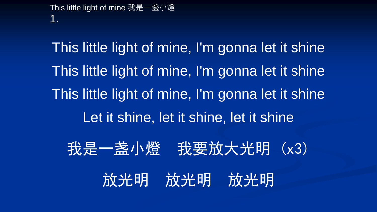This little light of mine 我是一盏小燈 1.

This little light of mine, I'm gonna let it shine This little light of mine, I'm gonna let it shine This little light of mine, I'm gonna let it shine Let it shine, let it shine, let it shine 我是一盏小燈 我要放大光明 (x3) 放光明 放光明 放光明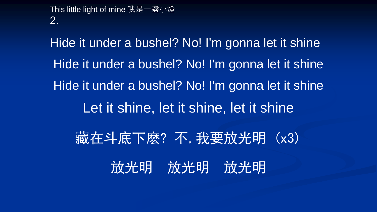This little light of mine 我是一盏小燈 2.

Hide it under a bushel? No! I'm gonna let it shine Hide it under a bushel? No! I'm gonna let it shine Hide it under a bushel? No! I'm gonna let it shine Let it shine, let it shine, let it shine 藏在斗底下麽?不,我要放光明 (x3) 放光明 放光明 放光明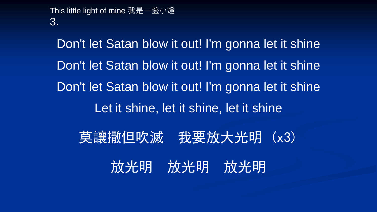This little light of mine 我是一盏小燈 3.

Don't let Satan blow it out! I'm gonna let it shine Don't let Satan blow it out! I'm gonna let it shine Don't let Satan blow it out! I'm gonna let it shine Let it shine, let it shine, let it shine 莫讓撒但吹滅 我要放大光明 (x3) 放光明 放光明 放光明